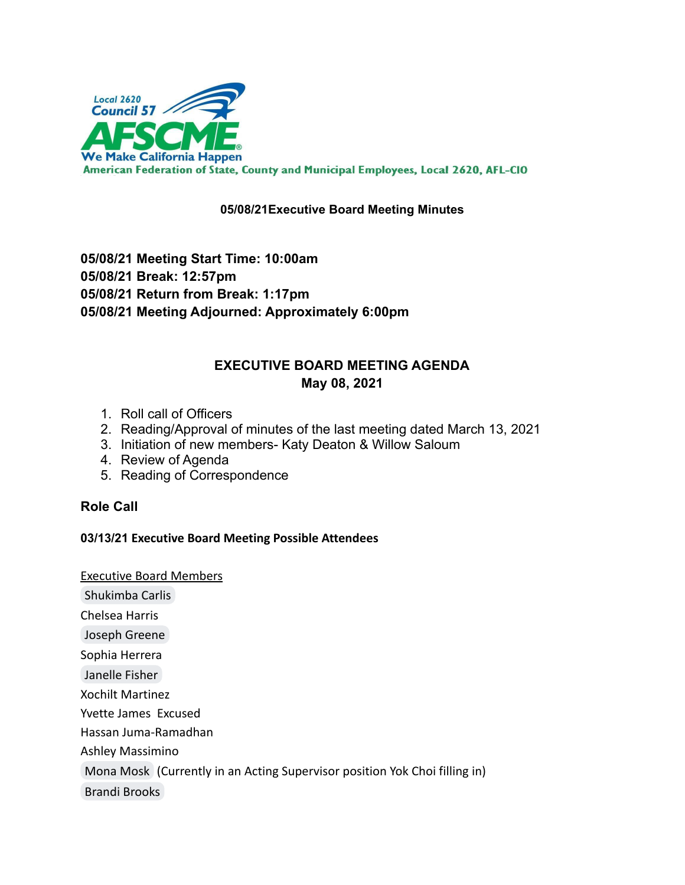

## **05/08/21Executive Board Meeting Minutes**

**05/08/21 Meeting Start Time: 10:00am 05/08/21 Break: 12:57pm 05/08/21 Return from Break: 1:17pm 05/08/21 Meeting Adjourned: Approximately 6:00pm**

# **EXECUTIVE BOARD MEETING AGENDA May 08, 2021**

- 1. Roll call of Officers
- 2. Reading/Approval of minutes of the last meeting dated March 13, 2021
- 3. Initiation of new members- Katy Deaton & Willow Saloum
- 4. Review of Agenda
- 5. Reading of Correspondence

## **Role Call**

## **03/13/21 Executive Board Meeting Possible Attendees**

Executive Board Members

[Shukimba Carlis](mailto:president@afscmelocal2620.org)

Chelsea Harris

[Joseph Greene](mailto:kg6cig@gmail.com)

Sophia Herrera

[Janelle Fisher](mailto:secretary@afscmelocal2620.org)

Xochilt Martinez

Yvette James Excused

Hassan Juma-Ramadhan

Ashley Massimino

[Mona Mosk](mailto:Mona.mosk@gmail.com) (Currently in an Acting Supervisor position Yok Choi filling in)

[Brandi Brooks](mailto:brandi.brooks@afscmelocal2620.org)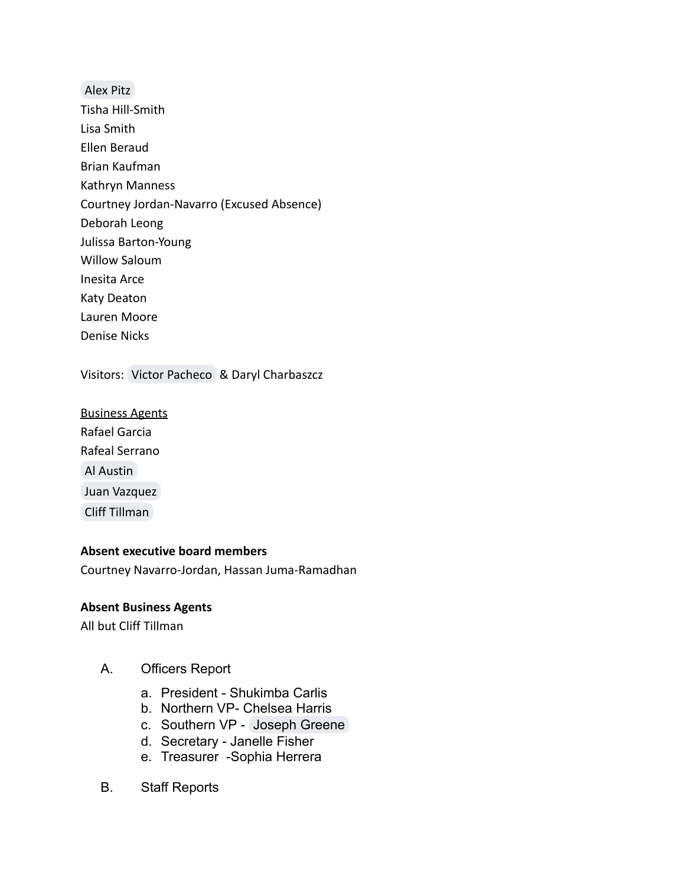[Alex Pitz](mailto:alex.pitz@afscmelocal2620.org) Tisha Hill-Smith Lisa Smith Ellen Beraud Brian Kaufman Kathryn Manness Courtney Jordan-Navarro (Excused Absence) Deborah Leong Julissa Barton-Young Willow Saloum Inesita Arce Katy Deaton Lauren Moore Denise Nicks

Visitors: [Victor Pacheco](mailto:victor.pacheco@afscmelocal2620.org) & Daryl Charbaszcz

Business Agents Rafael Garcia Rafeal Serrano [Al Austin](mailto:al.austin@ca.afscme57.org) [Juan Vazquez](mailto:juan.vazquez@ca.afscme57.org) [Cliff Tillman](mailto:cliff.tillman@ca.afscme57.org)

#### **Absent executive board members**

Courtney Navarro-Jordan, Hassan Juma-Ramadhan

#### **Absent Business Agents**

All but Cliff Tillman

- A. Officers Report
	- a. President Shukimba Carlis
	- b. Northern VP- Chelsea Harris
	- c. Southern VP [Joseph Greene](mailto:joseph.greene@afscmelocal2620.org)
	- d. Secretary Janelle Fisher
	- e. Treasurer -Sophia Herrera
- B. Staff Reports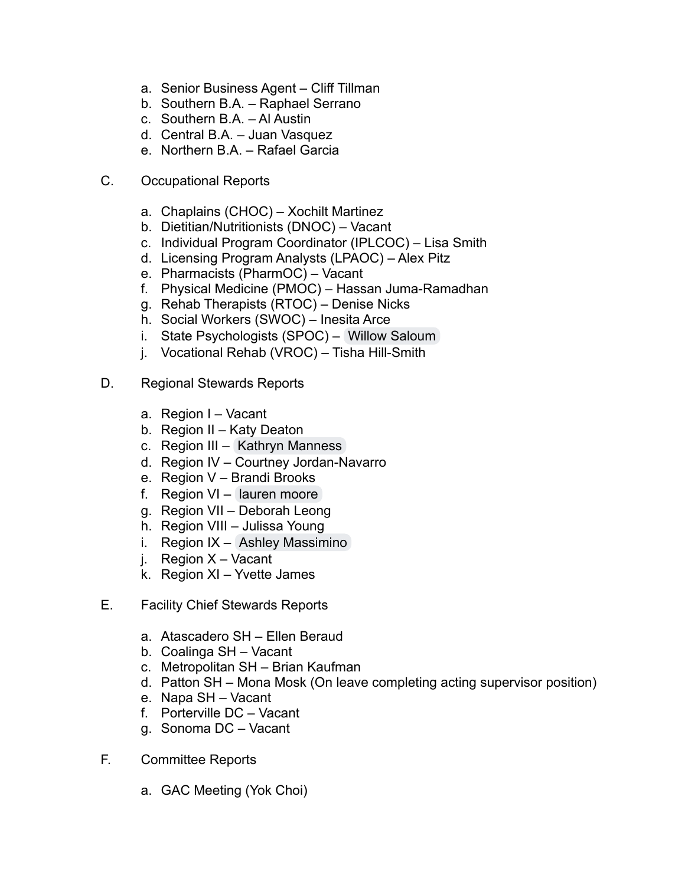- a. Senior Business Agent Cliff Tillman
- b. Southern B.A. Raphael Serrano
- c. Southern B.A. Al Austin
- d. Central B.A. Juan Vasquez
- e. Northern B.A. Rafael Garcia
- C. Occupational Reports
	- a. Chaplains (CHOC) Xochilt Martinez
	- b. Dietitian/Nutritionists (DNOC) Vacant
	- c. Individual Program Coordinator (IPLCOC) Lisa Smith
	- d. Licensing Program Analysts (LPAOC) Alex Pitz
	- e. Pharmacists (PharmOC) Vacant
	- f. Physical Medicine (PMOC) Hassan Juma-Ramadhan
	- g. Rehab Therapists (RTOC) Denise Nicks
	- h. Social Workers (SWOC) Inesita Arce
	- i. State Psychologists (SPOC) [Willow Saloum](mailto:w.saloumpsy.d@gmail.com)
	- j. Vocational Rehab (VROC) Tisha Hill-Smith
- D. Regional Stewards Reports
	- a. Region I Vacant
	- b. Region II Katy Deaton
	- c. Region III [Kathryn Manness](mailto:kathryn@catnaplimited.org)
	- d. Region IV Courtney Jordan-Navarro
	- e. Region V Brandi Brooks
	- f. Region VI [lauren moore](mailto:L_MOORE_21@yahoo.com)
	- g. Region VII Deborah Leong
	- h. Region VIII Julissa Young
	- i. Region IX [Ashley Massimino](mailto:ashley.massimino@afscmelocal2620.org)
	- j. Region X Vacant
	- k. Region XI Yvette James
- E. Facility Chief Stewards Reports
	- a. Atascadero SH Ellen Beraud
	- b. Coalinga SH Vacant
	- c. Metropolitan SH Brian Kaufman
	- d. Patton SH Mona Mosk (On leave completing acting supervisor position)
	- e. Napa SH Vacant
	- f. Porterville DC Vacant
	- g. Sonoma DC Vacant
- F. Committee Reports
	- a. GAC Meeting (Yok Choi)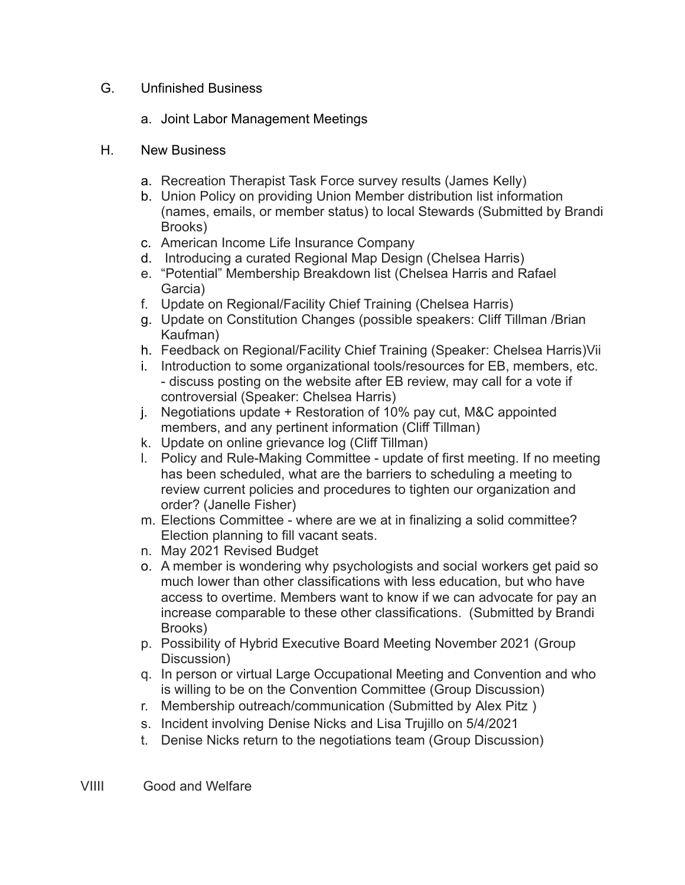## G. Unfinished Business

- a. Joint Labor Management Meetings
- H. New Business
	- a. Recreation Therapist Task Force survey results (James Kelly)
	- b. Union Policy on providing Union Member distribution list information (names, emails, or member status) to local Stewards (Submitted by Brandi Brooks)
	- c. American Income Life Insurance Company
	- d. Introducing a curated Regional Map Design (Chelsea Harris)
	- e. "Potential" Membership Breakdown list (Chelsea Harris and Rafael Garcia)
	- f. Update on Regional/Facility Chief Training (Chelsea Harris)
	- g. Update on Constitution Changes (possible speakers: Cliff Tillman /Brian Kaufman)
	- h. Feedback on Regional/Facility Chief Training (Speaker: Chelsea Harris)Vii
	- i. Introduction to some organizational tools/resources for EB, members, etc. - discuss posting on the website after EB review, may call for a vote if controversial (Speaker: Chelsea Harris)
	- j. Negotiations update + Restoration of 10% pay cut, M&C appointed members, and any pertinent information (Cliff Tillman)
	- k. Update on online grievance log (Cliff Tillman)
	- l. Policy and Rule-Making Committee update of first meeting. If no meeting has been scheduled, what are the barriers to scheduling a meeting to review current policies and procedures to tighten our organization and order? (Janelle Fisher)
	- m. Elections Committee where are we at in finalizing a solid committee? Election planning to fill vacant seats.
	- n. May 2021 Revised Budget
	- o. A member is wondering why psychologists and social workers get paid so much lower than other classifications with less education, but who have access to overtime. Members want to know if we can advocate for pay an increase comparable to these other classifications. (Submitted by Brandi Brooks)
	- p. Possibility of Hybrid Executive Board Meeting November 2021 (Group Discussion)
	- q. In person or virtual Large Occupational Meeting and Convention and who is willing to be on the Convention Committee (Group Discussion)
	- r. Membership outreach/communication (Submitted by [Alex Pitz](mailto:alex.pitz@afscmelocal2620.org) )
	- s. Incident involving [Denise Nicks](mailto:denise.nicks@afscmelocal2620.org) and Lisa Trujillo on 5/4/2021
	- t. Denise Nicks return to the negotiations team (Group Discussion)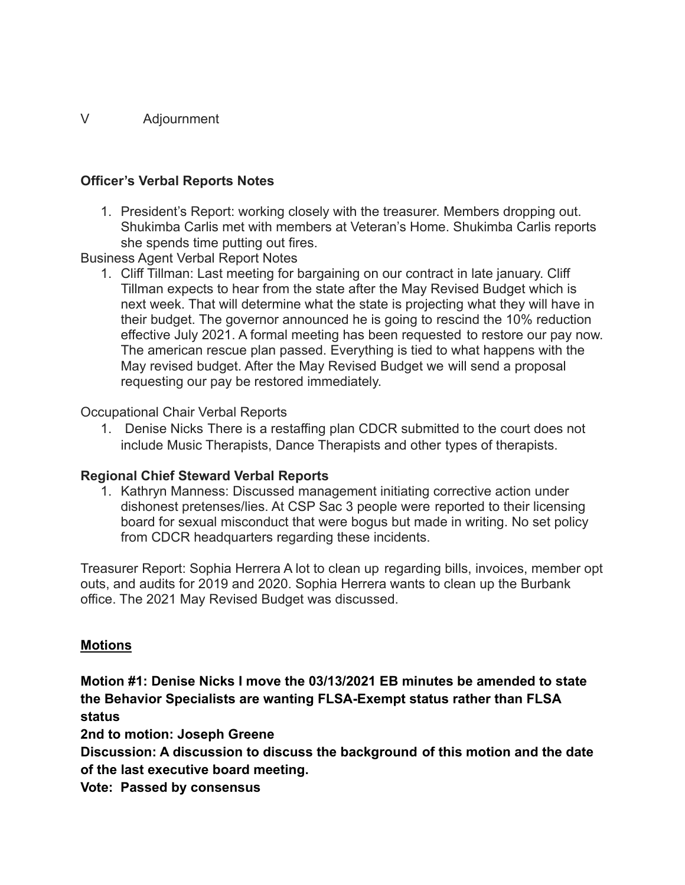## V Adjournment

## **Officer's Verbal Reports Notes**

1. President's Report: working closely with the treasurer. Members dropping out. Shukimba Carlis met with members at Veteran's Home. Shukimba Carlis reports she spends time putting out fires.

Business Agent Verbal Report Notes

1. Cliff Tillman: Last meeting for bargaining on our contract in late january. Cliff Tillman expects to hear from the state after the May Revised Budget which is next week. That will determine what the state is projecting what they will have in their budget. The governor announced he is going to rescind the 10% reduction effective July 2021. A formal meeting has been requested to restore our pay now. The american rescue plan passed. Everything is tied to what happens with the May revised budget. After the May Revised Budget we will send a proposal requesting our pay be restored immediately.

## Occupational Chair Verbal Reports

1. [Denise Nicks](mailto:denise.nicks@afscmelocal2620.org) There is a restaffing plan CDCR submitted to the court does not include Music Therapists, Dance Therapists and other types of therapists.

## **Regional Chief Steward Verbal Reports**

1. Kathryn Manness: Discussed management initiating corrective action under dishonest pretenses/lies. At CSP Sac 3 people were reported to their licensing board for sexual misconduct that were bogus but made in writing. No set policy from CDCR headquarters regarding these incidents.

Treasurer Report: Sophia Herrera A lot to clean up regarding bills, invoices, member opt outs, and audits for 2019 and 2020. Sophia Herrera wants to clean up the Burbank office. The 2021 May Revised Budget was discussed.

## **Motions**

**Motion #1: Denise Nicks I move the 03/13/2021 EB minutes be amended to state the Behavior Specialists are wanting FLSA-Exempt status rather than FLSA status**

**2nd to motion: Joseph Greene**

**Discussion: A discussion to discuss the background of this motion and the date of the last executive board meeting.**

**Vote: Passed by consensus**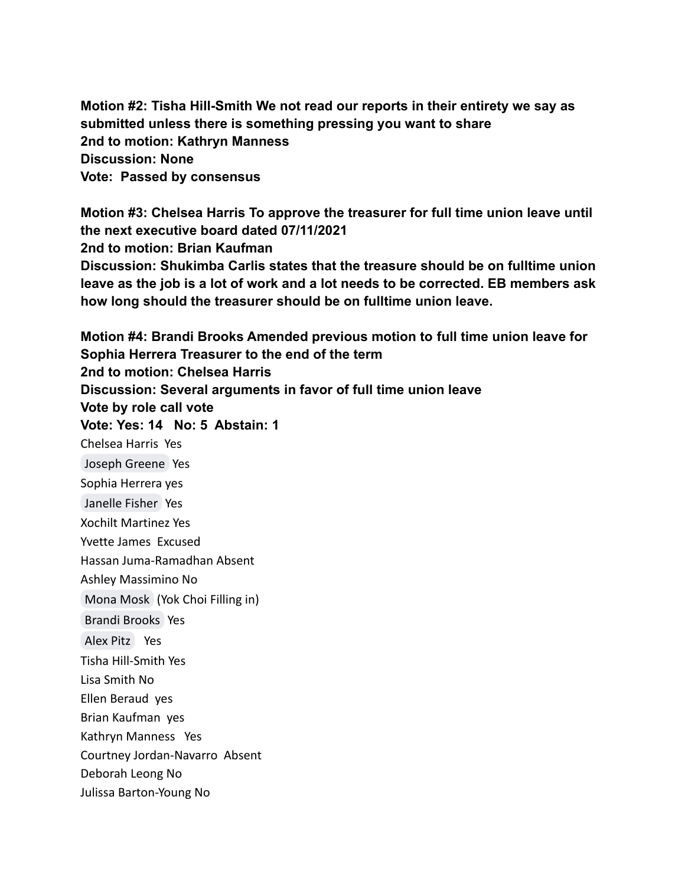**Motion #2: Tisha Hill-Smith We not read our reports in their entirety we say as submitted unless there is something pressing you want to share 2nd to motion: Kathryn Manness Discussion: None Vote: Passed by consensus**

**Motion #3: Chelsea Harris To approve the treasurer for full time union leave until the next executive board dated 07/11/2021 2nd to motion: Brian Kaufman Discussion: Shukimba Carlis states that the treasure should be on fulltime union leave as the job is a lot of work and a lot needs to be corrected. EB members ask how long should the treasurer should be on fulltime union leave.**

**Motion #4: Brandi Brooks Amended previous motion to full time union leave for Sophia Herrera Treasurer to the end of the term 2nd to motion: Chelsea Harris Discussion: Several arguments in favor of full time union leave Vote by role call vote Vote: Yes: 14 No: 5 Abstain: 1** Chelsea Harris Yes [Joseph Greene](mailto:kg6cig@gmail.com) Yes Sophia Herrera yes [Janelle Fisher](mailto:secretary@afscmelocal2620.org) Yes Xochilt Martinez Yes Yvette James Excused Hassan Juma-Ramadhan Absent Ashley Massimino No [Mona Mosk](mailto:Mona.mosk@gmail.com) (Yok Choi Filling in) [Brandi Brooks](mailto:brandi.brooks@afscmelocal2620.org) Yes [Alex Pitz](mailto:alex.pitz@afscmelocal2620.org) Yes Tisha Hill-Smith Yes Lisa Smith No Ellen Beraud yes Brian Kaufman yes Kathryn Manness Yes Courtney Jordan-Navarro Absent Deborah Leong No Julissa Barton-Young No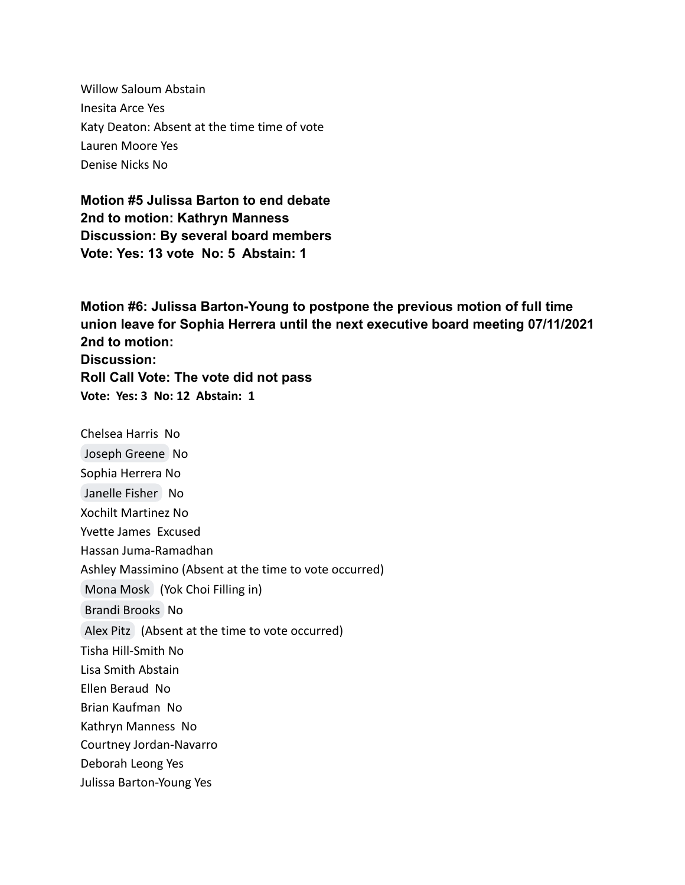Willow Saloum Abstain Inesita Arce Yes Katy Deaton: Absent at the time time of vote Lauren Moore Yes Denise Nicks No

**Motion #5 Julissa Barton to end debate 2nd to motion: Kathryn Manness Discussion: By several board members Vote: Yes: 13 vote No: 5 Abstain: 1**

**Motion #6: Julissa Barton-Young to postpone the previous motion of full time union leave for Sophia Herrera until the next executive board meeting 07/11/2021 2nd to motion: Discussion: Roll Call Vote: The vote did not pass Vote: Yes: 3 No: 12 Abstain: 1**

Chelsea Harris No [Joseph Greene](mailto:kg6cig@gmail.com) No Sophia Herrera No [Janelle Fisher](mailto:secretary@afscmelocal2620.org) No Xochilt Martinez No Yvette James Excused Hassan Juma-Ramadhan Ashley Massimino (Absent at the time to vote occurred) [Mona Mosk](mailto:Mona.mosk@gmail.com) (Yok Choi Filling in) [Brandi Brooks](mailto:brandi.brooks@afscmelocal2620.org) No [Alex Pitz](mailto:alex.pitz@afscmelocal2620.org) (Absent at the time to vote occurred) Tisha Hill-Smith No Lisa Smith Abstain Ellen Beraud No Brian Kaufman No Kathryn Manness No Courtney Jordan-Navarro Deborah Leong Yes Julissa Barton-Young Yes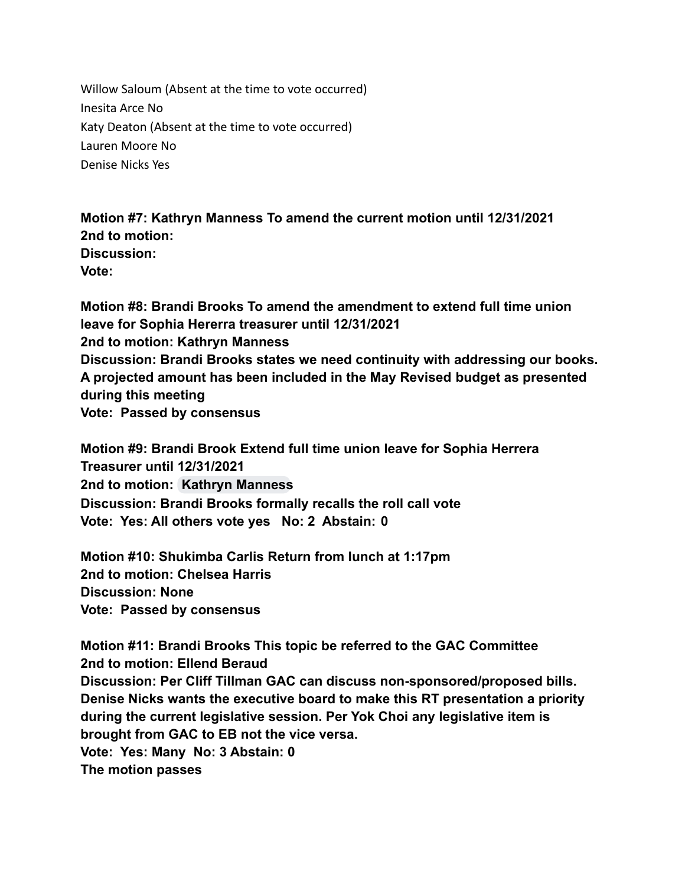Willow Saloum (Absent at the time to vote occurred) Inesita Arce No Katy Deaton (Absent at the time to vote occurred) Lauren Moore No Denise Nicks Yes

**Motion #7: Kathryn Manness To amend the current motion until 12/31/2021 2nd to motion: Discussion: Vote:**

**Motion #8: Brandi Brooks To amend the amendment to extend full time union leave for Sophia Hererra treasurer until 12/31/2021 2nd to motion: Kathryn Manness Discussion: Brandi Brooks states we need continuity with addressing our books. A projected amount has been included in the May Revised budget as presented during this meeting Vote: Passed by consensus**

**Motion #9: Brandi Brook Extend full time union leave for Sophia Herrera Treasurer until 12/31/2021 2nd to motion: [Kathryn Manness](mailto:kathryn@catnaplimited.org) Discussion: Brandi Brooks formally recalls the roll call vote Vote: Yes: All others vote yes No: 2 Abstain: 0**

**Motion #10: Shukimba Carlis Return from lunch at 1:17pm 2nd to motion: Chelsea Harris Discussion: None Vote: Passed by consensus**

**Motion #11: Brandi Brooks This topic be referred to the GAC Committee 2nd to motion: Ellend Beraud Discussion: Per Cliff Tillman GAC can discuss non-sponsored/proposed bills. Denise Nicks wants the executive board to make this RT presentation a priority during the current legislative session. Per Yok Choi any legislative item is brought from GAC to EB not the vice versa. Vote: Yes: Many No: 3 Abstain: 0 The motion passes**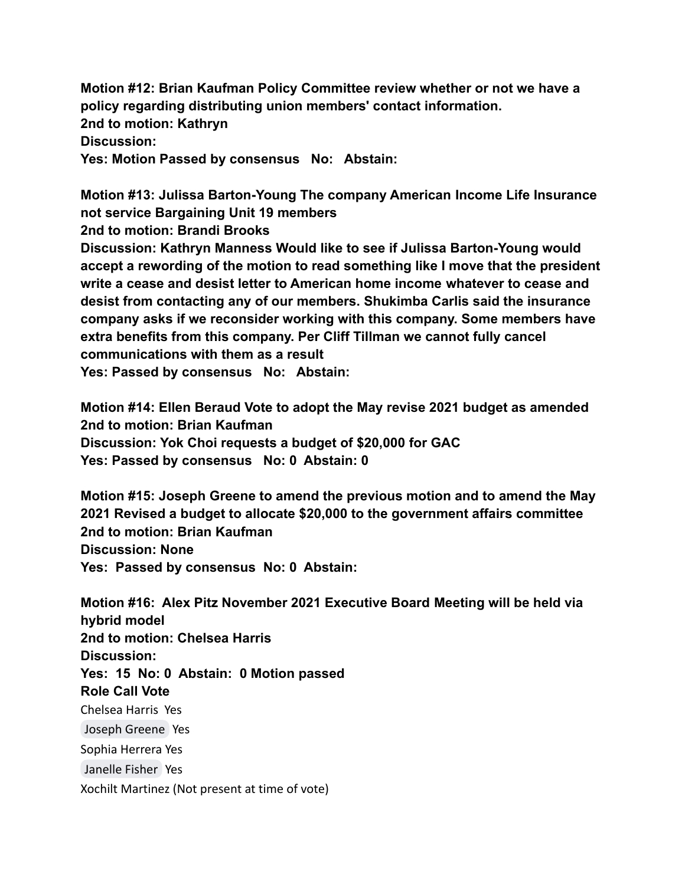**Motion #12: Brian Kaufman Policy Committee review whether or not we have a policy regarding distributing union members' contact information. 2nd to motion: Kathryn Discussion: Yes: Motion Passed by consensus No: Abstain:**

**Motion #13: Julissa Barton-Young The company American Income Life Insurance not service Bargaining Unit 19 members**

**2nd to motion: Brandi Brooks**

**Discussion: Kathryn Manness Would like to see if Julissa Barton-Young would accept a rewording of the motion to read something like I move that the president write a cease and desist letter to American home income whatever to cease and desist from contacting any of our members. Shukimba Carlis said the insurance company asks if we reconsider working with this company. Some members have extra benefits from this company. Per Cliff Tillman we cannot fully cancel communications with them as a result**

**Yes: Passed by consensus No: Abstain:**

**Motion #14: Ellen Beraud Vote to adopt the May revise 2021 budget as amended 2nd to motion: Brian Kaufman Discussion: Yok Choi requests a budget of \$20,000 for GAC Yes: Passed by consensus No: 0 Abstain: 0**

**Motion #15: Joseph Greene to amend the previous motion and to amend the May 2021 Revised a budget to allocate \$20,000 to the government affairs committee 2nd to motion: Brian Kaufman Discussion: None Yes: Passed by consensus No: 0 Abstain:**

**Motion #16: Alex Pitz November 2021 Executive Board Meeting will be held via hybrid model 2nd to motion: Chelsea Harris Discussion: Yes: 15 No: 0 Abstain: 0 Motion passed Role Call Vote** Chelsea Harris Yes [Joseph Greene](mailto:kg6cig@gmail.com) Yes Sophia Herrera Yes [Janelle Fisher](mailto:secretary@afscmelocal2620.org) Yes Xochilt Martinez (Not present at time of vote)